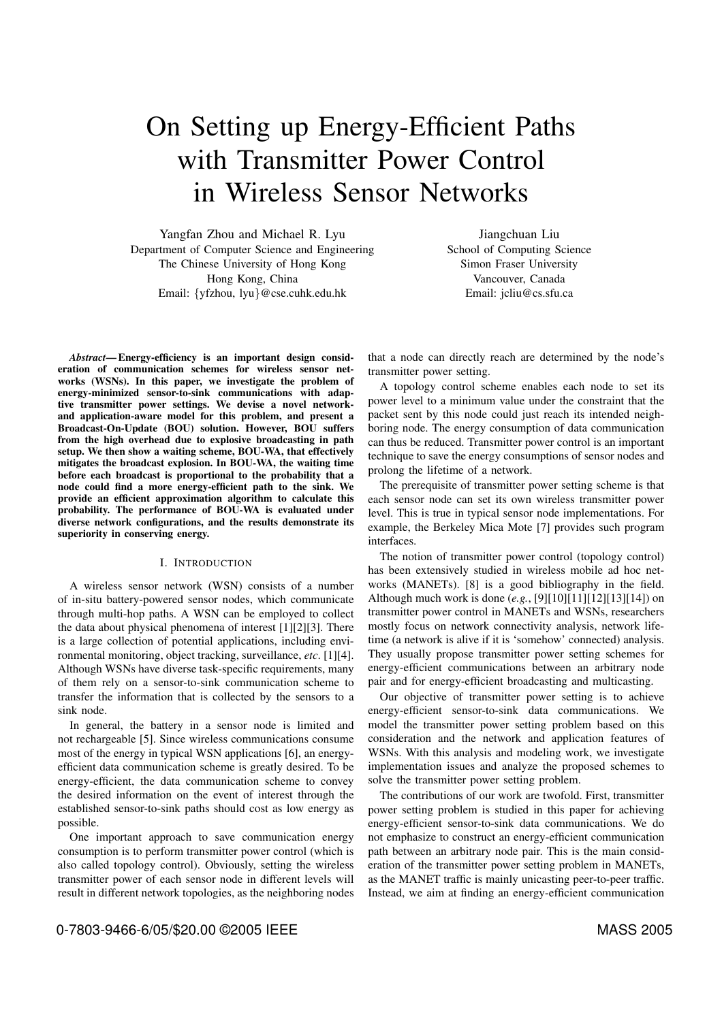# On Setting up Energy-Efficient Paths with Transmitter Power Control in Wireless Sensor Networks

Yangfan Zhou and Michael R. Lyu Department of Computer Science and Engineering The Chinese University of Hong Kong Hong Kong, China Email: {yfzhou, lyu}@cse.cuhk.edu.hk

Jiangchuan Liu School of Computing Science Simon Fraser University Vancouver, Canada Email: jcliu@cs.sfu.ca

Abstract— Energy-efficiency is an important design consideration of communication schemes for wireless sensor networks (WSNs). In this paper, we investigate the problem of energy-minimized sensor-to-sink communications with adaptive transmitter power settings. We devise a novel networkand application-aware model for this problem, and present a Broadcast-On-Update (BOU) solution. However, BOU suffers from the high overhead due to explosive broadcasting in path setup. We then show a waiting scheme, BOU-WA, that effectively mitigates the broadcast explosion. In BOU-WA, the waiting time before each broadcast is proportional to the probability that a node could find a more energy-efficient path to the sink. We provide an efficient approximation algorithm to calculate this probability. The performance of BOU-WA is evaluated under diverse network configurations, and the results demonstrate its superiority in conserving energy.

## I. INTRODUCTION

A wireless sensor network (WSN) consists of a number of in-situ battery-powered sensor nodes, which communicate through multi-hop paths. A WSN can be employed to collect the data about physical phenomena of interest [1][2][3]. There is a large collection of potential applications, including environmental monitoring, object tracking, surveillance, etc. [1][4]. Although WSNs have diverse task-specific requirements, many of them rely on a sensor-to-sink communication scheme to transfer the information that is collected by the sensors to a sink node.

In general, the battery in a sensor node is limited and not rechargeable [5]. Since wireless communications consume most of the energy in typical WSN applications [6], an energyefficient data communication scheme is greatly desired. To be energy-efficient, the data communication scheme to convey the desired information on the event of interest through the established sensor-to-sink paths should cost as low energy as possible.

One important approach to save communication energy consumption is to perform transmitter power control (which is also called topology control). Obviously, setting the wireless transmitter power of each sensor node in different levels will result in different network topologies, as the neighboring nodes

that a node can directly reach are determined by the node's transmitter power setting.

A topology control scheme enables each node to set its power level to a minimum value under the constraint that the packet sent by this node could just reach its intended neighboring node. The energy consumption of data communication can thus be reduced. Transmitter power control is an important technique to save the energy consumptions of sensor nodes and prolong the lifetime of a network.

The prerequisite of transmitter power setting scheme is that each sensor node can set its own wireless transmitter power level. This is true in typical sensor node implementations. For example, the Berkeley Mica Mote [7] provides such program interfaces.

The notion of transmitter power control (topology control) has been extensively studied in wireless mobile ad hoc networks (MANETs). [8] is a good bibliography in the field. Although much work is done  $(e.g., [9][10][11][12][13][14])$  on transmitter power control in MANETs and WSNs, researchers mostly focus on network connectivity analysis, network lifetime (a network is alive if it is 'somehow' connected) analysis. They usually propose transmitter power setting schemes for energy-efficient communications between an arbitrary node pair and for energy-efficient broadcasting and multicasting.

Our objective of transmitter power setting is to achieve energy-efficient sensor-to-sink data communications. We model the transmitter power setting problem based on this consideration and the network and application features of WSNs. With this analysis and modeling work, we investigate implementation issues and analyze the proposed schemes to solve the transmitter power setting problem.

The contributions of our work are twofold. First, transmitter power setting problem is studied in this paper for achieving energy-efficient sensor-to-sink data communications. We do not emphasize to construct an energy-efficient communication path between an arbitrary node pair. This is the main consideration of the transmitter power setting problem in MANETs, as the MANET traffic is mainly unicasting peer-to-peer traffic. Instead, we aim at finding an energy-efficient communication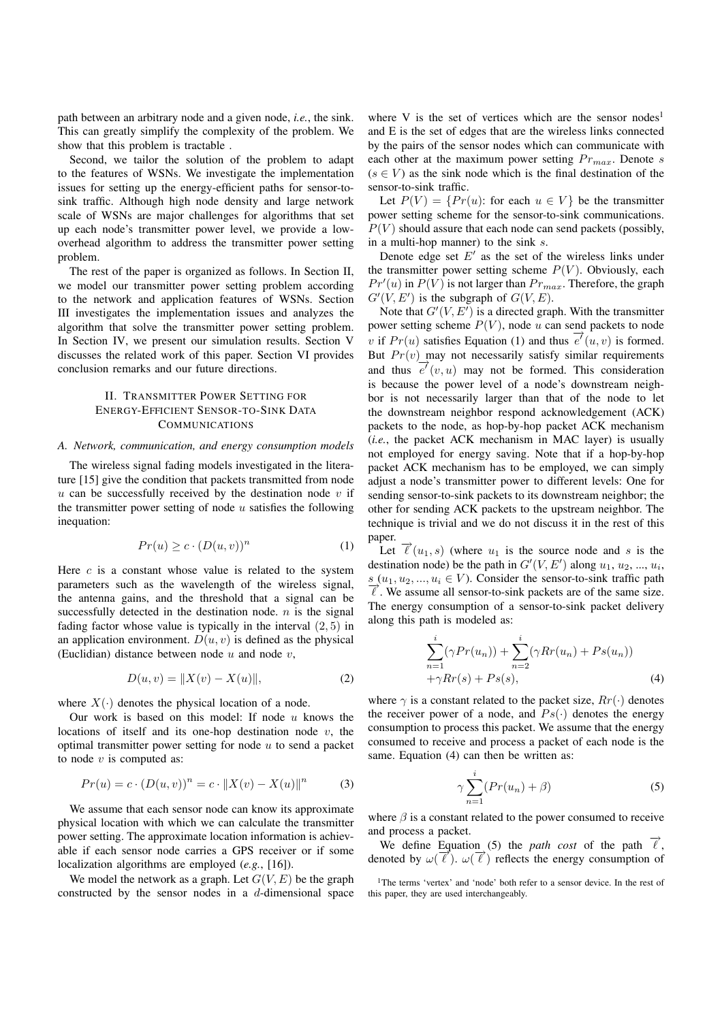path between an arbitrary node and a given node, i.e., the sink. This can greatly simplify the complexity of the problem. We show that this problem is tractable .

Second, we tailor the solution of the problem to adapt to the features of WSNs. We investigate the implementation issues for setting up the energy-efficient paths for sensor-tosink traffic. Although high node density and large network scale of WSNs are major challenges for algorithms that set up each node's transmitter power level, we provide a lowoverhead algorithm to address the transmitter power setting problem.

The rest of the paper is organized as follows. In Section II, we model our transmitter power setting problem according to the network and application features of WSNs. Section III investigates the implementation issues and analyzes the algorithm that solve the transmitter power setting problem. In Section IV, we present our simulation results. Section V discusses the related work of this paper. Section VI provides conclusion remarks and our future directions.

## II. TRANSMITTER POWER SETTING FOR ENERGY-EFFICIENT SENSOR-TO-SINK DATA COMMUNICATIONS

#### A. Network, communication, and energy consumption models

The wireless signal fading models investigated in the literature [15] give the condition that packets transmitted from node  $u$  can be successfully received by the destination node  $v$  if the transmitter power setting of node  $u$  satisfies the following inequation:

$$
Pr(u) \ge c \cdot (D(u, v))^n \tag{1}
$$

Here  $c$  is a constant whose value is related to the system parameters such as the wavelength of the wireless signal, the antenna gains, and the threshold that a signal can be successfully detected in the destination node.  $n$  is the signal fading factor whose value is typically in the interval  $(2, 5)$  in an application environment.  $D(u, v)$  is defined as the physical (Euclidian) distance between node  $u$  and node  $v$ .

$$
D(u, v) = \|X(v) - X(u)\|,\tag{2}
$$

where  $X(\cdot)$  denotes the physical location of a node.

Our work is based on this model: If node  $u$  knows the locations of itself and its one-hop destination node  $v$ , the optimal transmitter power setting for node  $u$  to send a packet to node  $v$  is computed as:

$$
Pr(u) = c \cdot (D(u, v))^n = c \cdot ||X(v) - X(u)||^n \tag{3}
$$

We assume that each sensor node can know its approximate physical location with which we can calculate the transmitter power setting. The approximate location information is achievable if each sensor node carries a GPS receiver or if some localization algorithms are employed (e.g., [16]).

We model the network as a graph. Let  $G(V, E)$  be the graph constructed by the sensor nodes in a  $d$ -dimensional space

where V is the set of vertices which are the sensor nodes<sup>1</sup> and E is the set of edges that are the wireless links connected by the pairs of the sensor nodes which can communicate with each other at the maximum power setting  $Pr_{max}$ . Denote s  $(s \in V)$  as the sink node which is the final destination of the sensor-to-sink traffic.

Let  $P(V) = \{ Pr(u) : \text{ for each } u \in V \}$  be the transmitter power setting scheme for the sensor-to-sink communications.  $P(V)$  should assure that each node can send packets (possibly, in a multi-hop manner) to the sink s.

Denote edge set  $E'$  as the set of the wireless links under the transmitter power setting scheme  $P(V)$ . Obviously, each  $Pr'(u)$  in  $P(V)$  is not larger than  $Pr_{max}$ . Therefore, the graph  $G'(V, E')$  is the subgraph of  $G(V, E)$ .

Note that  $G'(V, E')$  is a directed graph. With the transmitter power setting scheme  $P(V)$ , node u can send packets to node *v* if  $Pr(u)$  satisfies Equation (1) and thus  $\overrightarrow{e'}(u, v)$  is formed. But  $Pr(v)$  may not necessarily satisfy similar requirements and thus  $\overline{e'}(v, u)$  may not be formed. This consideration is because the power level of a node's downstream neighbor is not necessarily larger than that of the node to let the downstream neighbor respond acknowledgement (ACK) packets to the node, as hop-by-hop packet ACK mechanism  $(i.e., the packet ACK mechanism in MAC layer)$  is usually not employed for energy saving. Note that if a hop-by-hop packet ACK mechanism has to be employed, we can simply adjust a node's transmitter power to different levels: One for sending sensor-to-sink packets to its downstream neighbor; the other for sending ACK packets to the upstream neighbor. The technique is trivial and we do not discuss it in the rest of this paper.

Let  $\vec{\ell}(u_1, s)$  (where  $u_1$  is the source node and s is the destination node) be the path in  $G'(V, E')$  along  $u_1, u_2, ..., u_i$ ,  $s$   $(u_1, u_2, ..., u_i \in V)$ . Consider the sensor-to-sink traffic path  $\overrightarrow{\ell}$ . We assume all sensor-to-sink packets are of the same size. The energy consumption of a sensor-to-sink packet delivery along this path is modeled as:

$$
\sum_{n=1}^{i} (\gamma Pr(u_n)) + \sum_{n=2}^{i} (\gamma Rr(u_n) + Ps(u_n))
$$
  
+ $\gamma Rr(s) + Ps(s),$  (4)

where  $\gamma$  is a constant related to the packet size,  $Rr(\cdot)$  denotes the receiver power of a node, and  $Ps(.)$  denotes the energy consumption to process this packet. We assume that the energy consumed to receive and process a packet of each node is the same. Equation (4) can then be written as:

$$
\gamma \sum_{n=1}^{i} (Pr(u_n) + \beta) \tag{5}
$$

where  $\beta$  is a constant related to the power consumed to receive and process a packet.

We define Equation (5) the path cost of the path  $\vec{\ell}$ , denoted by  $\omega(\vec{\ell})$ .  $\omega(\vec{\ell})$  reflects the energy consumption of

<sup>1</sup>The terms 'vertex' and 'node' both refer to a sensor device. In the rest of this paper, they are used interchangeably.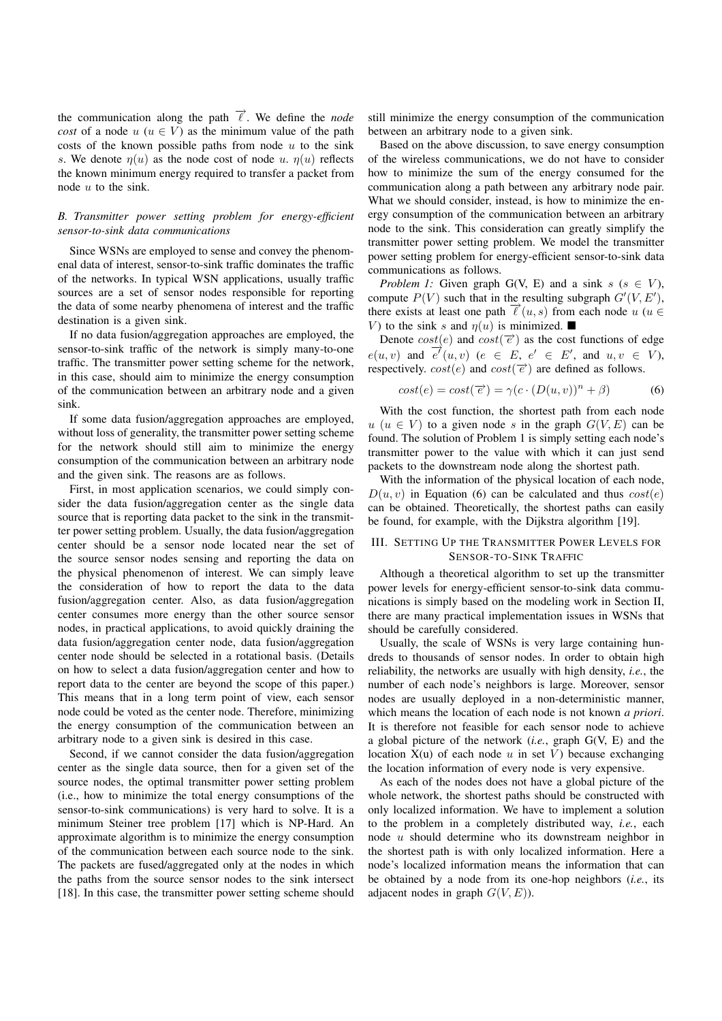the communication along the path  $\vec{\ell}$ . We define the *node* cost of a node  $u (u \in V)$  as the minimum value of the path costs of the known possible paths from node  $u$  to the sink s. We denote  $\eta(u)$  as the node cost of node u.  $\eta(u)$  reflects the known minimum energy required to transfer a packet from node u to the sink.

## B. Transmitter power setting problem for energy-efficient sensor-to-sink data communications

Since WSNs are employed to sense and convey the phenomenal data of interest, sensor-to-sink traffic dominates the traffic of the networks. In typical WSN applications, usually traffic sources are a set of sensor nodes responsible for reporting the data of some nearby phenomena of interest and the traffic destination is a given sink.

If no data fusion/aggregation approaches are employed, the sensor-to-sink traffic of the network is simply many-to-one traffic. The transmitter power setting scheme for the network, in this case, should aim to minimize the energy consumption of the communication between an arbitrary node and a given sink.

If some data fusion/aggregation approaches are employed, without loss of generality, the transmitter power setting scheme for the network should still aim to minimize the energy consumption of the communication between an arbitrary node and the given sink. The reasons are as follows.

First, in most application scenarios, we could simply consider the data fusion/aggregation center as the single data source that is reporting data packet to the sink in the transmitter power setting problem. Usually, the data fusion/aggregation center should be a sensor node located near the set of the source sensor nodes sensing and reporting the data on the physical phenomenon of interest. We can simply leave the consideration of how to report the data to the data fusion/aggregation center. Also, as data fusion/aggregation center consumes more energy than the other source sensor nodes, in practical applications, to avoid quickly draining the data fusion/aggregation center node, data fusion/aggregation center node should be selected in a rotational basis. (Details on how to select a data fusion/aggregation center and how to report data to the center are beyond the scope of this paper.) This means that in a long term point of view, each sensor node could be voted as the center node. Therefore, minimizing the energy consumption of the communication between an arbitrary node to a given sink is desired in this case.

Second, if we cannot consider the data fusion/aggregation center as the single data source, then for a given set of the source nodes, the optimal transmitter power setting problem (i.e., how to minimize the total energy consumptions of the sensor-to-sink communications) is very hard to solve. It is a minimum Steiner tree problem [17] which is NP-Hard. An approximate algorithm is to minimize the energy consumption of the communication between each source node to the sink. The packets are fused/aggregated only at the nodes in which the paths from the source sensor nodes to the sink intersect [18]. In this case, the transmitter power setting scheme should

still minimize the energy consumption of the communication between an arbitrary node to a given sink.

Based on the above discussion, to save energy consumption of the wireless communications, we do not have to consider how to minimize the sum of the energy consumed for the communication along a path between any arbitrary node pair. What we should consider, instead, is how to minimize the energy consumption of the communication between an arbitrary node to the sink. This consideration can greatly simplify the transmitter power setting problem. We model the transmitter power setting problem for energy-efficient sensor-to-sink data communications as follows.

Problem 1: Given graph G(V, E) and a sink  $s$  ( $s \in V$ ), compute  $P(V)$  such that in the resulting subgraph  $G'(V, E'),$ there exists at least one path  $\overrightarrow{\ell}(u, s)$  from each node  $u (u \in$ V) to the sink s and  $\eta(u)$  is minimized.

Denote  $cost(e)$  and  $cost(\vec{e})$  as the cost functions of edge  $e(u, v)$  and  $\overline{e'}(u, v)$  ( $e \in E$ ,  $e' \in E'$ , and  $u, v \in V$ ), respectively.  $cost(e)$  and  $cost(\overrightarrow{e})$  are defined as follows.

$$
cost(e) = cost(\overrightarrow{e}) = \gamma(c \cdot (D(u, v))^n + \beta)
$$
 (6)

With the cost function, the shortest path from each node  $u (u \in V)$  to a given node s in the graph  $G(V, E)$  can be found. The solution of Problem 1 is simply setting each node's transmitter power to the value with which it can just send packets to the downstream node along the shortest path.

With the information of the physical location of each node,  $D(u, v)$  in Equation (6) can be calculated and thus  $cost(e)$ can be obtained. Theoretically, the shortest paths can easily be found, for example, with the Dijkstra algorithm [19].

#### III. SETTING UP THE TRANSMITTER POWER LEVELS FOR SENSOR-TO-SINK TRAFFIC

Although a theoretical algorithm to set up the transmitter power levels for energy-efficient sensor-to-sink data communications is simply based on the modeling work in Section II, there are many practical implementation issues in WSNs that should be carefully considered.

Usually, the scale of WSNs is very large containing hundreds to thousands of sensor nodes. In order to obtain high reliability, the networks are usually with high density, i.e., the number of each node's neighbors is large. Moreover, sensor nodes are usually deployed in a non-deterministic manner, which means the location of each node is not known *a priori*. It is therefore not feasible for each sensor node to achieve a global picture of the network  $(i.e., graph G(V, E)$  and the location  $X(u)$  of each node u in set V) because exchanging the location information of every node is very expensive.

As each of the nodes does not have a global picture of the whole network, the shortest paths should be constructed with only localized information. We have to implement a solution to the problem in a completely distributed way, i.e., each node  $u$  should determine who its downstream neighbor in the shortest path is with only localized information. Here a node's localized information means the information that can be obtained by a node from its one-hop neighbors  $(i.e.,$  its adjacent nodes in graph  $G(V, E)$ ).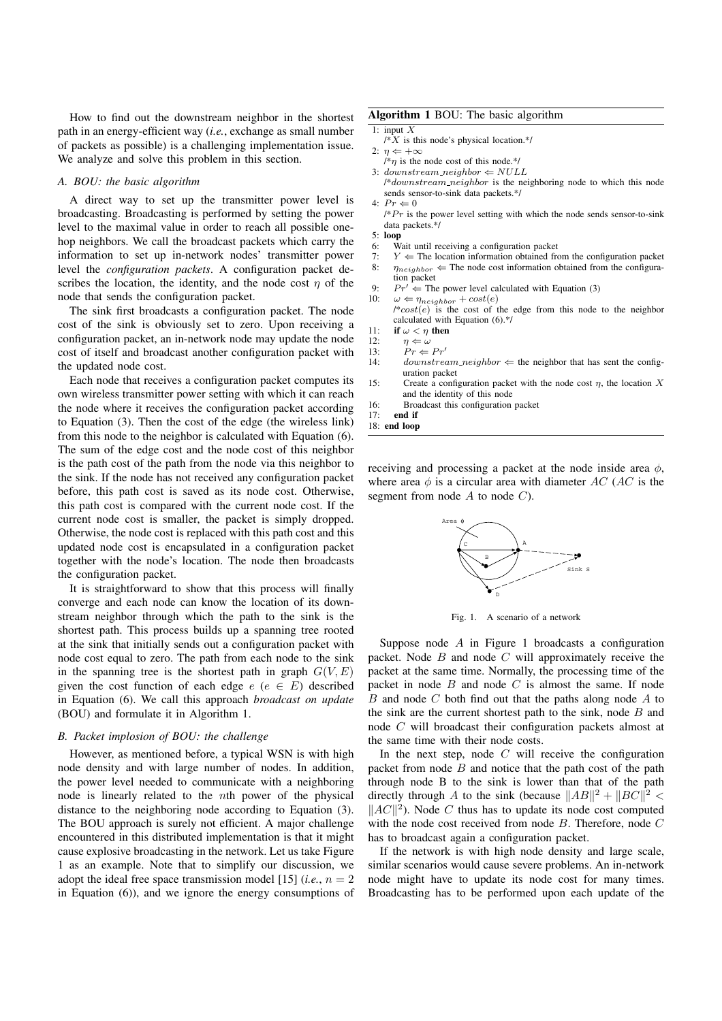How to find out the downstream neighbor in the shortest path in an energy-efficient way (*i.e.*, exchange as small number of packets as possible) is a challenging implementation issue. We analyze and solve this problem in this section.

### A. BOU: the basic algorithm

A direct way to set up the transmitter power level is broadcasting. Broadcasting is performed by setting the power level to the maximal value in order to reach all possible onehop neighbors. We call the broadcast packets which carry the information to set up in-network nodes' transmitter power level the configuration packets. A configuration packet describes the location, the identity, and the node cost  $\eta$  of the node that sends the configuration packet.

The sink first broadcasts a configuration packet. The node cost of the sink is obviously set to zero. Upon receiving a configuration packet, an in-network node may update the node cost of itself and broadcast another configuration packet with the updated node cost.

Each node that receives a configuration packet computes its own wireless transmitter power setting with which it can reach the node where it receives the configuration packet according to Equation (3). Then the cost of the edge (the wireless link) from this node to the neighbor is calculated with Equation (6). The sum of the edge cost and the node cost of this neighbor is the path cost of the path from the node via this neighbor to the sink. If the node has not received any configuration packet before, this path cost is saved as its node cost. Otherwise, this path cost is compared with the current node cost. If the current node cost is smaller, the packet is simply dropped. Otherwise, the node cost is replaced with this path cost and this updated node cost is encapsulated in a configuration packet together with the node's location. The node then broadcasts the configuration packet.

It is straightforward to show that this process will finally converge and each node can know the location of its downstream neighbor through which the path to the sink is the shortest path. This process builds up a spanning tree rooted at the sink that initially sends out a configuration packet with node cost equal to zero. The path from each node to the sink in the spanning tree is the shortest path in graph  $G(V, E)$ given the cost function of each edge  $e \ (e \in E)$  described in Equation (6). We call this approach *broadcast on update* (BOU) and formulate it in Algorithm 1.

#### B. Packet implosion of BOU: the challenge

However, as mentioned before, a typical WSN is with high node density and with large number of nodes. In addition, the power level needed to communicate with a neighboring node is linearly related to the nth power of the physical distance to the neighboring node according to Equation (3). The BOU approach is surely not efficient. A major challenge encountered in this distributed implementation is that it might cause explosive broadcasting in the network. Let us take Figure 1 as an example. Note that to simplify our discussion, we adopt the ideal free space transmission model [15] (*i.e.*,  $n = 2$ in Equation (6)), and we ignore the energy consumptions of

#### Algorithm 1 BOU: The basic algorithm

- 1: input  $\overline{X}$
- $/*X$  is this node's physical location.\*/
- 2:  $n \Leftarrow +\infty$ 
	- $\frac{1}{2}$  is the node cost of this node.\*/
- 3:  $downstream\_neighbor \Leftarrow NULL$ /\*downstream neighbor is the neighboring node to which this node sends sensor-to-sink data packets.\*/
- 4:  $Pr \Leftarrow 0$
- $/ P r$  is the power level setting with which the node sends sensor-to-sink data packets.\*/
- 5: loop
- 6: Wait until receiving a configuration packet
- 7:  $Y \leftarrow$  The location information obtained from the configuration packet 8:  $\eta_{neighbor} \leftarrow$  The node cost information obtained from the configura-
- tion packet
- 9:  $Pr' \in$  The power level calculated with Equation (3)<br>10:  $\omega \Leftarrow \eta_{neighbor} + cost(e)$  $\omega \Leftarrow \eta_{neighbor} + cost(e)$
- $/*cost(e)$  is the cost of the edge from this node to the neighbor calculated with Equation (6).\*/
- 11: if  $\omega < \eta$  then
- 12:  $\eta \Leftarrow \omega$ <br>13:  $Pr \Leftarrow \omega$ 
	- $\dot{P}r \Leftarrow Pr'$
- 14: downstream\_neighbor  $\Leftarrow$  the neighbor that has sent the configuration packet
- 15: Create a configuration packet with the node cost  $\eta$ , the location X and the identity of this node
- 16: Broadcast this configuration packet
- 17: end if
- 18: end loop

receiving and processing a packet at the node inside area  $\phi$ , where area  $\phi$  is a circular area with diameter AC (AC is the segment from node  $A$  to node  $C$ ).



Fig. 1. A scenario of a network

Suppose node  $A$  in Figure 1 broadcasts a configuration packet. Node  $B$  and node  $C$  will approximately receive the packet at the same time. Normally, the processing time of the packet in node  $B$  and node  $C$  is almost the same. If node  $B$  and node  $C$  both find out that the paths along node  $A$  to the sink are the current shortest path to the sink, node  $B$  and node C will broadcast their configuration packets almost at the same time with their node costs.

In the next step, node  $C$  will receive the configuration packet from node  $B$  and notice that the path cost of the path through node B to the sink is lower than that of the path directly through A to the sink (because  $||AB||^2 + ||BC||^2 <$  $||AC||^2$ ). Node C thus has to update its node cost computed with the node cost received from node  $B$ . Therefore, node  $C$ has to broadcast again a configuration packet.

If the network is with high node density and large scale, similar scenarios would cause severe problems. An in-network node might have to update its node cost for many times. Broadcasting has to be performed upon each update of the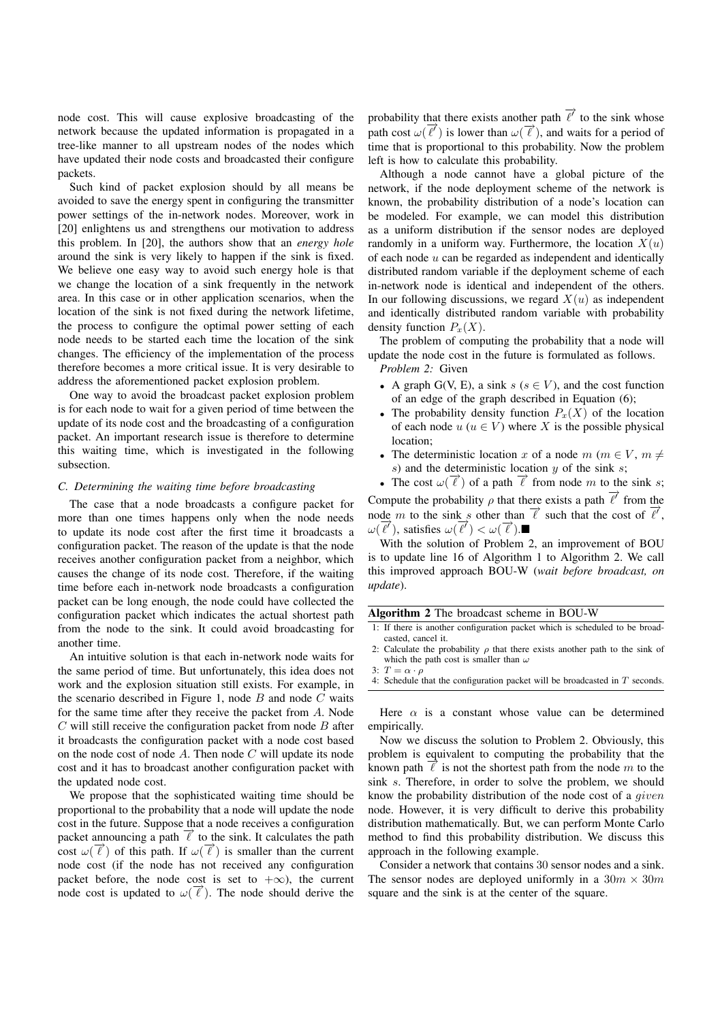node cost. This will cause explosive broadcasting of the network because the updated information is propagated in a tree-like manner to all upstream nodes of the nodes which have updated their node costs and broadcasted their configure packets.

Such kind of packet explosion should by all means be avoided to save the energy spent in configuring the transmitter power settings of the in-network nodes. Moreover, work in [20] enlightens us and strengthens our motivation to address this problem. In [20], the authors show that an energy hole around the sink is very likely to happen if the sink is fixed. We believe one easy way to avoid such energy hole is that we change the location of a sink frequently in the network area. In this case or in other application scenarios, when the location of the sink is not fixed during the network lifetime, the process to configure the optimal power setting of each node needs to be started each time the location of the sink changes. The efficiency of the implementation of the process therefore becomes a more critical issue. It is very desirable to address the aforementioned packet explosion problem.

One way to avoid the broadcast packet explosion problem is for each node to wait for a given period of time between the update of its node cost and the broadcasting of a configuration packet. An important research issue is therefore to determine this waiting time, which is investigated in the following subsection.

#### C. Determining the waiting time before broadcasting

The case that a node broadcasts a configure packet for more than one times happens only when the node needs to update its node cost after the first time it broadcasts a configuration packet. The reason of the update is that the node receives another configuration packet from a neighbor, which causes the change of its node cost. Therefore, if the waiting time before each in-network node broadcasts a configuration packet can be long enough, the node could have collected the configuration packet which indicates the actual shortest path from the node to the sink. It could avoid broadcasting for another time.

An intuitive solution is that each in-network node waits for the same period of time. But unfortunately, this idea does not work and the explosion situation still exists. For example, in the scenario described in Figure 1, node  $B$  and node  $C$  waits for the same time after they receive the packet from A. Node  $C$  will still receive the configuration packet from node  $B$  after it broadcasts the configuration packet with a node cost based on the node cost of node  $A$ . Then node  $C$  will update its node cost and it has to broadcast another configuration packet with the updated node cost.

We propose that the sophisticated waiting time should be proportional to the probability that a node will update the node cost in the future. Suppose that a node receives a configuration packet announcing a path  $\overrightarrow{\ell}$  to the sink. It calculates the path packet amounting a pair  $\overline{z}$  to the sink. It calculates the path cost  $\omega(\overrightarrow{\ell})$  of this path. If  $\omega(\overrightarrow{\ell})$  is smaller than the current node cost (if the node has not received any configuration packet before, the node cost is set to  $+\infty$ ), the current packet before, the node cost is set to  $\ket{\infty}$ , the carrent node cost is updated to  $\omega(\vec{\ell})$ . The node should derive the

probability that there exists another path  $\overrightarrow{\ell'}$  to the sink whose probability that there exists a<br>holder pain  $\ell$  to the sink whose<br>path cost  $\omega(\vec{\ell}')$  is lower than  $\omega(\vec{\ell})$ , and waits for a period of time that is proportional to this probability. Now the problem left is how to calculate this probability.

Although a node cannot have a global picture of the network, if the node deployment scheme of the network is known, the probability distribution of a node's location can be modeled. For example, we can model this distribution as a uniform distribution if the sensor nodes are deployed randomly in a uniform way. Furthermore, the location  $X(u)$ of each node  $u$  can be regarded as independent and identically distributed random variable if the deployment scheme of each in-network node is identical and independent of the others. In our following discussions, we regard  $X(u)$  as independent and identically distributed random variable with probability density function  $P<sub>x</sub>(X)$ .

The problem of computing the probability that a node will update the node cost in the future is formulated as follows. Problem 2: Given

- A graph G(V, E), a sink  $s$  ( $s \in V$ ), and the cost function of an edge of the graph described in Equation (6);
- The probability density function  $P_x(X)$  of the location of each node  $u (u \in V)$  where X is the possible physical location;
- The deterministic location x of a node  $m$  ( $m \in V$ ,  $m \neq$ s) and the deterministic location  $y$  of the sink  $s$ ;
- The cost  $\omega(\vec{\ell})$  of a path  $\vec{\ell}$  from node m to the sink s;

Compute the probability  $\rho$  that there exists a path  $\overrightarrow{\ell}$  from the node *m* to the sink *s* other than  $\vec{\ell}$  such that the cost of  $\vec{\ell}$ ,  $\omega(\vec{\ell}')$ , satisfies  $\omega(\vec{\ell}') < \omega(\vec{\ell})$ .

With the solution of Problem 2, an improvement of BOU is to update line 16 of Algorithm 1 to Algorithm 2. We call this improved approach BOU-W (wait before broadcast, on update).

- 1: If there is another configuration packet which is scheduled to be broadcasted, cancel it.
- 2: Calculate the probability  $\rho$  that there exists another path to the sink of which the path cost is smaller than  $\omega$
- 3:  $T = \alpha \cdot \rho$
- 4: Schedule that the configuration packet will be broadcasted in T seconds.

Here  $\alpha$  is a constant whose value can be determined empirically.

Now we discuss the solution to Problem 2. Obviously, this problem is equivalent to computing the probability that the known path  $\ell$  is not the shortest path from the node m to the sink s. Therefore, in order to solve the problem, we should know the probability distribution of the node cost of a *given* node. However, it is very difficult to derive this probability distribution mathematically. But, we can perform Monte Carlo method to find this probability distribution. We discuss this approach in the following example.

Consider a network that contains 30 sensor nodes and a sink. The sensor nodes are deployed uniformly in a  $30m \times 30m$ square and the sink is at the center of the square.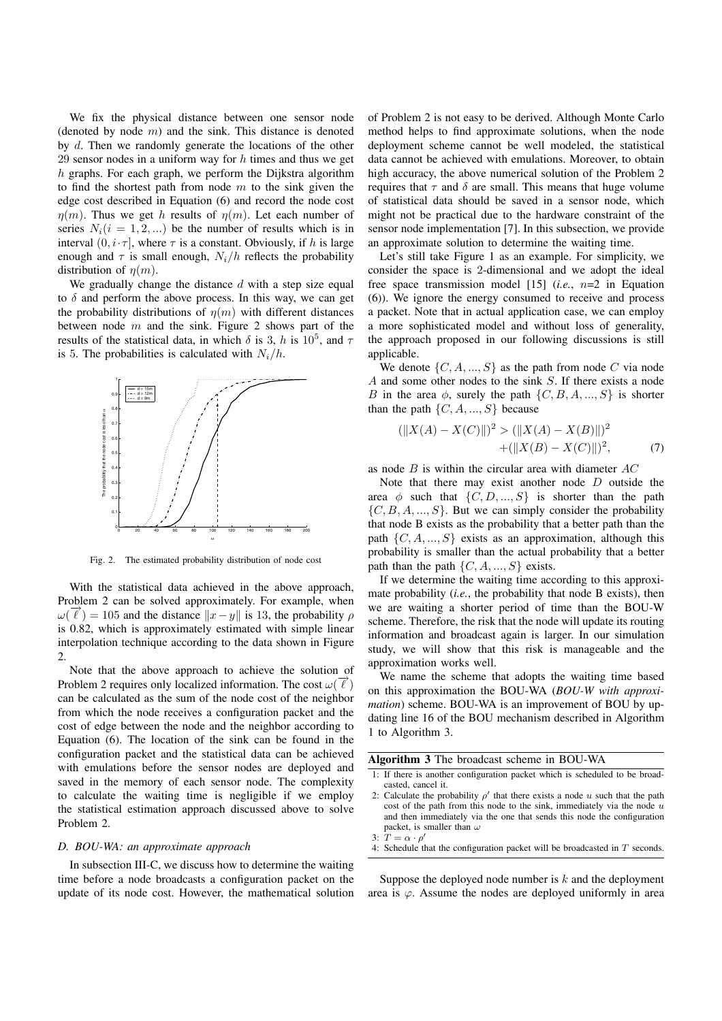We fix the physical distance between one sensor node (denoted by node  $m$ ) and the sink. This distance is denoted by d. Then we randomly generate the locations of the other 29 sensor nodes in a uniform way for  $h$  times and thus we get h graphs. For each graph, we perform the Dijkstra algorithm to find the shortest path from node  $m$  to the sink given the edge cost described in Equation (6) and record the node cost  $\eta(m)$ . Thus we get h results of  $\eta(m)$ . Let each number of series  $N_i(i = 1, 2, ...)$  be the number of results which is in interval  $(0, i \cdot \tau]$ , where  $\tau$  is a constant. Obviously, if h is large enough and  $\tau$  is small enough,  $N_i/h$  reflects the probability distribution of  $\eta(m)$ .

We gradually change the distance  $d$  with a step size equal to  $\delta$  and perform the above process. In this way, we can get the probability distributions of  $\eta(m)$  with different distances between node  $m$  and the sink. Figure 2 shows part of the results of the statistical data, in which  $\delta$  is 3, h is 10<sup>5</sup>, and  $\tau$ is 5. The probabilities is calculated with  $N_i/h$ .



Fig. 2. The estimated probability distribution of node cost

With the statistical data achieved in the above approach, Problem 2 can be solved approximately. For example, when  $\omega(\vec{\ell}) = 105$  and the distance  $||x - y||$  is 13, the probability  $\rho$ is 0.82, which is approximately estimated with simple linear interpolation technique according to the data shown in Figure 2.

Note that the above approach to achieve the solution of Problem 2 requires only localized information. The cost  $\omega(\vec{\ell})$ can be calculated as the sum of the node cost of the neighbor from which the node receives a configuration packet and the cost of edge between the node and the neighbor according to Equation (6). The location of the sink can be found in the configuration packet and the statistical data can be achieved with emulations before the sensor nodes are deployed and saved in the memory of each sensor node. The complexity to calculate the waiting time is negligible if we employ the statistical estimation approach discussed above to solve Problem 2.

#### D. BOU-WA: an approximate approach

In subsection III-C, we discuss how to determine the waiting time before a node broadcasts a configuration packet on the update of its node cost. However, the mathematical solution of Problem 2 is not easy to be derived. Although Monte Carlo method helps to find approximate solutions, when the node deployment scheme cannot be well modeled, the statistical data cannot be achieved with emulations. Moreover, to obtain high accuracy, the above numerical solution of the Problem 2 requires that  $\tau$  and  $\delta$  are small. This means that huge volume of statistical data should be saved in a sensor node, which might not be practical due to the hardware constraint of the sensor node implementation [7]. In this subsection, we provide an approximate solution to determine the waiting time.

Let's still take Figure 1 as an example. For simplicity, we consider the space is 2-dimensional and we adopt the ideal free space transmission model [15]  $(i.e., n=2$  in Equation (6)). We ignore the energy consumed to receive and process a packet. Note that in actual application case, we can employ a more sophisticated model and without loss of generality, the approach proposed in our following discussions is still applicable.

We denote  $\{C, A, ..., S\}$  as the path from node C via node A and some other nodes to the sink S. If there exists a node B in the area  $\phi$ , surely the path  $\{C, B, A, ..., S\}$  is shorter than the path  $\{C, A, ..., S\}$  because

$$
(\|X(A) - X(C)\|)^2 > (\|X(A) - X(B)\|)^2
$$
  
 
$$
+(\|X(B) - X(C)\|)^2,
$$
 (7)

as node  $B$  is within the circular area with diameter  $AC$ 

Note that there may exist another node D outside the area  $\phi$  such that  $\{C, D, ..., S\}$  is shorter than the path  $\{C, B, A, ..., S\}$ . But we can simply consider the probability that node B exists as the probability that a better path than the path  $\{C, A, ..., S\}$  exists as an approximation, although this probability is smaller than the actual probability that a better path than the path  $\{C, A, ..., S\}$  exists.

If we determine the waiting time according to this approximate probability  $(i.e.,$  the probability that node B exists), then we are waiting a shorter period of time than the BOU-W scheme. Therefore, the risk that the node will update its routing information and broadcast again is larger. In our simulation study, we will show that this risk is manageable and the approximation works well.

We name the scheme that adopts the waiting time based on this approximation the BOU-WA (BOU-W with approximation) scheme. BOU-WA is an improvement of BOU by updating line 16 of the BOU mechanism described in Algorithm 1 to Algorithm 3.

| Algorithm 3 The broadcast scheme in BOU-WA |  |  |  |  |  |  |
|--------------------------------------------|--|--|--|--|--|--|
|--------------------------------------------|--|--|--|--|--|--|

- 1: If there is another configuration packet which is scheduled to be broadcasted, cancel it.
- 2: Calculate the probability  $\rho'$  that there exists a node u such that the path cost of the path from this node to the sink, immediately via the node  $u$ and then immediately via the one that sends this node the configuration packet, is smaller than  $\omega$
- 3:  $T = \alpha \cdot \theta$
- 4: Schedule that the configuration packet will be broadcasted in T seconds.

Suppose the deployed node number is  $k$  and the deployment area is  $\varphi$ . Assume the nodes are deployed uniformly in area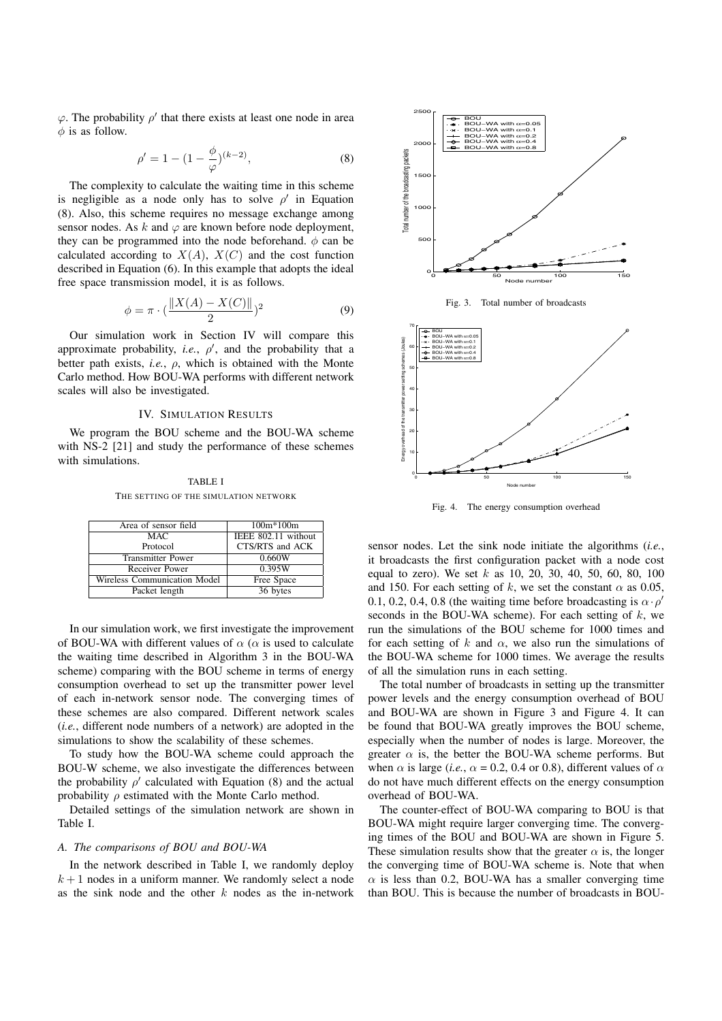$\varphi$ . The probability  $\rho'$  that there exists at least one node in area  $\phi$  is as follow.

$$
\rho' = 1 - (1 - \frac{\phi}{\varphi})^{(k-2)},\tag{8}
$$

The complexity to calculate the waiting time in this scheme is negligible as a node only has to solve  $\rho'$  in Equation (8). Also, this scheme requires no message exchange among sensor nodes. As k and  $\varphi$  are known before node deployment, they can be programmed into the node beforehand.  $\phi$  can be calculated according to  $X(A)$ ,  $X(C)$  and the cost function described in Equation (6). In this example that adopts the ideal free space transmission model, it is as follows.

$$
\phi = \pi \cdot \left(\frac{\|X(A) - X(C)\|}{2}\right)^2 \tag{9}
$$

Our simulation work in Section IV will compare this approximate probability, *i.e.*,  $\rho'$ , and the probability that a better path exists, *i.e.*,  $\rho$ , which is obtained with the Monte Carlo method. How BOU-WA performs with different network scales will also be investigated.

#### IV. SIMULATION RESULTS

We program the BOU scheme and the BOU-WA scheme with NS-2 [21] and study the performance of these schemes with simulations.

TABLE I THE SETTING OF THE SIMULATION NETWORK

| Area of sensor field         | $100m*100m$         |  |  |
|------------------------------|---------------------|--|--|
| MAC                          | IEEE 802.11 without |  |  |
| Protocol                     | CTS/RTS and ACK     |  |  |
| <b>Transmitter Power</b>     | 0.660W              |  |  |
| Receiver Power               | 0.395W              |  |  |
| Wireless Communication Model | Free Space          |  |  |
| Packet length                | 36 bytes            |  |  |

In our simulation work, we first investigate the improvement of BOU-WA with different values of  $\alpha$  ( $\alpha$  is used to calculate the waiting time described in Algorithm 3 in the BOU-WA scheme) comparing with the BOU scheme in terms of energy consumption overhead to set up the transmitter power level of each in-network sensor node. The converging times of these schemes are also compared. Different network scales (i.e., different node numbers of a network) are adopted in the simulations to show the scalability of these schemes.

To study how the BOU-WA scheme could approach the BOU-W scheme, we also investigate the differences between the probability  $\rho'$  calculated with Equation (8) and the actual probability  $\rho$  estimated with the Monte Carlo method.

Detailed settings of the simulation network are shown in Table I.

#### A. The comparisons of BOU and BOU-WA

In the network described in Table I, we randomly deploy  $k + 1$  nodes in a uniform manner. We randomly select a node as the sink node and the other  $k$  nodes as the in-network



Fig. 4. The energy consumption overhead

sensor nodes. Let the sink node initiate the algorithms *(i.e.,* it broadcasts the first configuration packet with a node cost equal to zero). We set  $k$  as 10, 20, 30, 40, 50, 60, 80, 100 and 150. For each setting of k, we set the constant  $\alpha$  as 0.05, 0.1, 0.2, 0.4, 0.8 (the waiting time before broadcasting is  $\alpha \cdot \rho'$ seconds in the BOU-WA scheme). For each setting of  $k$ , we run the simulations of the BOU scheme for 1000 times and for each setting of k and  $\alpha$ , we also run the simulations of the BOU-WA scheme for 1000 times. We average the results of all the simulation runs in each setting.

The total number of broadcasts in setting up the transmitter power levels and the energy consumption overhead of BOU and BOU-WA are shown in Figure 3 and Figure 4. It can be found that BOU-WA greatly improves the BOU scheme, especially when the number of nodes is large. Moreover, the greater  $\alpha$  is, the better the BOU-WA scheme performs. But when  $\alpha$  is large (*i.e.*,  $\alpha = 0.2$ , 0.4 or 0.8), different values of  $\alpha$ do not have much different effects on the energy consumption overhead of BOU-WA.

The counter-effect of BOU-WA comparing to BOU is that BOU-WA might require larger converging time. The converging times of the BOU and BOU-WA are shown in Figure 5. These simulation results show that the greater  $\alpha$  is, the longer the converging time of BOU-WA scheme is. Note that when  $\alpha$  is less than 0.2, BOU-WA has a smaller converging time than BOU. This is because the number of broadcasts in BOU-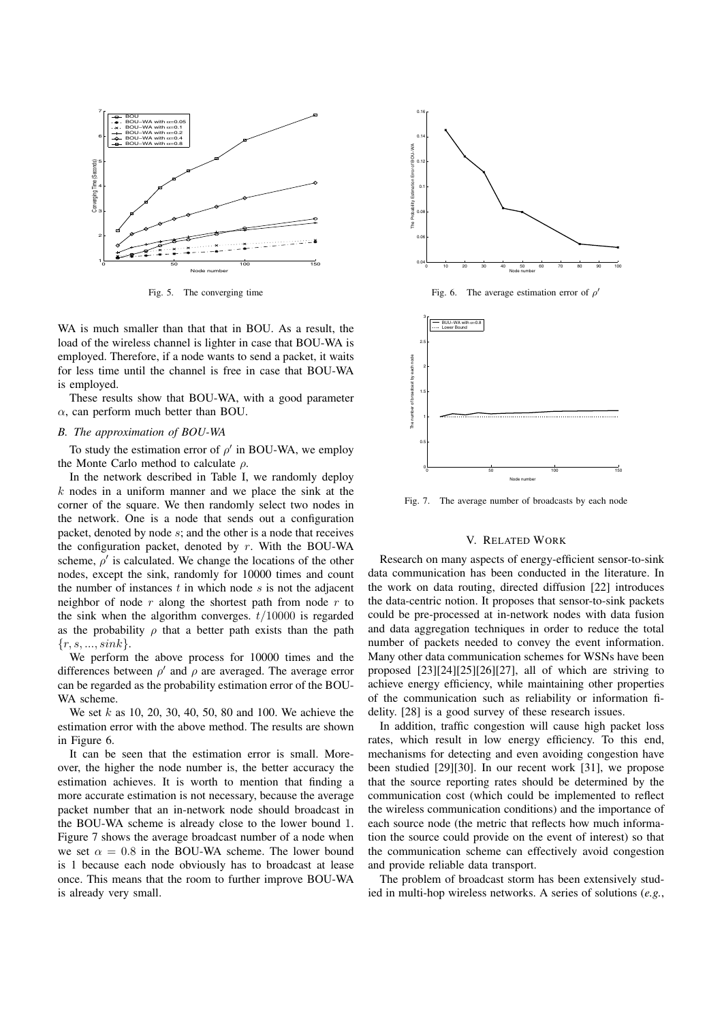

Fig. 5. The converging time

WA is much smaller than that that in BOU. As a result, the load of the wireless channel is lighter in case that BOU-WA is employed. Therefore, if a node wants to send a packet, it waits for less time until the channel is free in case that BOU-WA is employed.

These results show that BOU-WA, with a good parameter  $\alpha$ , can perform much better than BOU.

## B. The approximation of BOU-WA

To study the estimation error of  $\rho'$  in BOU-WA, we employ the Monte Carlo method to calculate  $\rho$ .

In the network described in Table I, we randomly deploy  $k$  nodes in a uniform manner and we place the sink at the corner of the square. We then randomly select two nodes in the network. One is a node that sends out a configuration packet, denoted by node s; and the other is a node that receives the configuration packet, denoted by  $r$ . With the BOU-WA scheme,  $\rho'$  is calculated. We change the locations of the other nodes, except the sink, randomly for 10000 times and count the number of instances  $t$  in which node  $s$  is not the adjacent neighbor of node  $r$  along the shortest path from node  $r$  to the sink when the algorithm converges.  $t/10000$  is regarded as the probability  $\rho$  that a better path exists than the path  $\{r, s, ..., sink\}.$ 

We perform the above process for 10000 times and the differences between  $\rho'$  and  $\rho$  are averaged. The average error can be regarded as the probability estimation error of the BOU-WA scheme.

We set  $k$  as 10, 20, 30, 40, 50, 80 and 100. We achieve the estimation error with the above method. The results are shown in Figure 6.

It can be seen that the estimation error is small. Moreover, the higher the node number is, the better accuracy the estimation achieves. It is worth to mention that finding a more accurate estimation is not necessary, because the average packet number that an in-network node should broadcast in the BOU-WA scheme is already close to the lower bound 1. Figure 7 shows the average broadcast number of a node when we set  $\alpha = 0.8$  in the BOU-WA scheme. The lower bound is 1 because each node obviously has to broadcast at lease once. This means that the room to further improve BOU-WA is already very small.



Fig. 6. The average estimation error of  $\rho'$ 



Fig. 7. The average number of broadcasts by each node

## V. RELATED WORK

Research on many aspects of energy-efficient sensor-to-sink data communication has been conducted in the literature. In the work on data routing, directed diffusion [22] introduces the data-centric notion. It proposes that sensor-to-sink packets could be pre-processed at in-network nodes with data fusion and data aggregation techniques in order to reduce the total number of packets needed to convey the event information. Many other data communication schemes for WSNs have been proposed [23][24][25][26][27], all of which are striving to achieve energy efficiency, while maintaining other properties of the communication such as reliability or information fidelity. [28] is a good survey of these research issues.

In addition, traffic congestion will cause high packet loss rates, which result in low energy efficiency. To this end, mechanisms for detecting and even avoiding congestion have been studied [29][30]. In our recent work [31], we propose that the source reporting rates should be determined by the communication cost (which could be implemented to reflect the wireless communication conditions) and the importance of each source node (the metric that reflects how much information the source could provide on the event of interest) so that the communication scheme can effectively avoid congestion and provide reliable data transport.

The problem of broadcast storm has been extensively studied in multi-hop wireless networks. A series of solutions (e.g.,